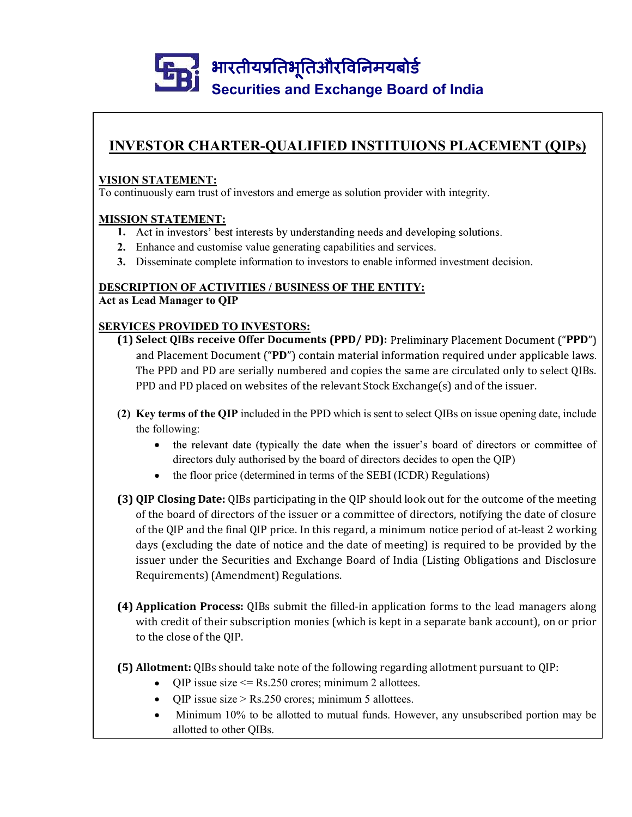# Securities and Exchange Board of India **ENTRANTER-PUALIFIED INSTITUIONS PLACEMENT (QIPs)**<br>
Securities and Exchange Board of India<br>
INVESTOR CHARTER-QUALIFIED INSTITUIONS PLACEMENT (QIPs)<br>
SION STATEMENT:<br>
continuously earn trust of investors and emerge as solu

# VISION STATEMENT:

To continuously earn trust of investors and emerge as solution provider with integrity.

# MISSION STATEMENT:

- 1. Act in investors' best interests by understanding needs and developing solutions.
- 2. Enhance and customise value generating capabilities and services.
- 3. Disseminate complete information to investors to enable informed investment decision.

# DESCRIPTION OF ACTIVITIES / BUSINESS OF THE ENTITY:

Act as Lead Manager to QIP

# SERVICES PROVIDED TO INVESTORS:

- (1) Select QIBs receive Offer Documents (PPD/PD): Preliminary Placement Document ("PPD") and Placement Document ("PD") contain material information required under applicable laws. The PPD and PD are serially numbered and copies the same are circulated only to select QIBs. PPD and PD placed on websites of the relevant Stock Exchange(s) and of the issuer. (1) STATEMENT:<br>
ION STATEMENT:<br>
CONSTATEMENT:<br>
CONSTATEMENT:<br>
CONSTATEMENT:<br>
L. Act in investors' best interests by understanding needs and developing solutions.<br>
1. Act in investors' best interests by understanding needs earn trust or investors and emerge as solution provider with integrity.<br>
TEMENT:<br>
verstors' best interests by understanding needs and developing solutions.<br>
and customise value generating capabilities and services.<br>
and cu
- the following:
	-
	- the floor price (determined in terms of the SEBI (ICDR) Regulations)
- (3) QIP Closing Date: QIBs participating in the QIP should look out for the outcome of the meeting of the board of directors of the issuer or a committee of directors, notifying the date of closure of the QIP and the final QIP price. In this regard, a minimum notice period of at-least 2 working days (excluding the date of notice and the date of meeting) is required to be provided by the issuer under the Securities and Exchange Board of India (Listing Obligations and Disclosure Requirements) (Amendment) Regulations. (1) Select QIBs receive Offer Documents (PPD/°): Preliminary Placement Document ("PPP") contain material information required under applicable laws.<br>The PPD and PD are serially numbered and copies the same are circulated (2) Key terms of the QIP included in the PPD which is sent to select QHBs on issue opening date, include<br>
the following:<br>
• the relevant date (typically the date when the issuer's board of directors or committee of<br>
direc
- with credit of their subscription monies (which is kept in a separate bank account), on or prior to the close of the QIP.
- - QIP issue size  $\leq$  Rs.250 crores; minimum 2 allottees.
	- $\bullet$  QIP issue size > Rs.250 crores; minimum 5 allottees.
	- Minimum 10% to be allotted to mutual funds. However, any unsubscribed portion may be allotted to other QIBs.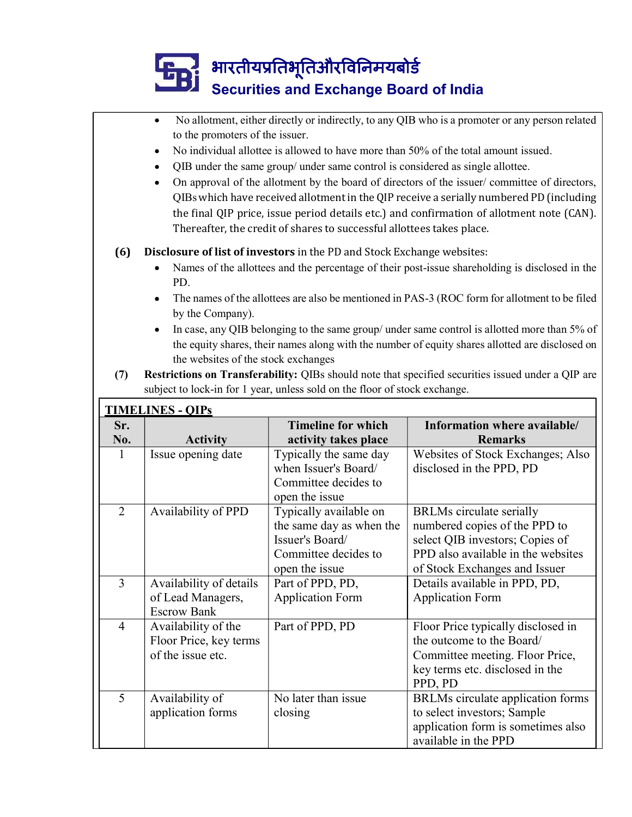# **Example 3** भारतीयप्रतिभूतिऔरविनिमयबोर्ड<br>Securities and Exchange Board of India

|                | $\bullet$<br>to the promoters of the issuer.<br>$\bullet$<br>٠<br>٠         | QIB under the same group/ under same control is considered as single allottee.<br>Thereafter, the credit of shares to successful allottees takes place. | No allotment, either directly or indirectly, to any QIB who is a promoter or any person related<br>No individual allottee is allowed to have more than 50% of the total amount issued.<br>On approval of the allotment by the board of directors of the issuer/committee of directors,<br>QIBs which have received allotment in the QIP receive a serially numbered PD (including<br>the final QIP price, issue period details etc.) and confirmation of allotment note (CAN). |
|----------------|-----------------------------------------------------------------------------|---------------------------------------------------------------------------------------------------------------------------------------------------------|--------------------------------------------------------------------------------------------------------------------------------------------------------------------------------------------------------------------------------------------------------------------------------------------------------------------------------------------------------------------------------------------------------------------------------------------------------------------------------|
| (6)            | PD.<br>by the Company).<br>$\bullet$<br>the websites of the stock exchanges | Disclosure of list of investors in the PD and Stock Exchange websites:                                                                                  | Names of the allottees and the percentage of their post-issue shareholding is disclosed in the<br>The names of the allottees are also be mentioned in PAS-3 (ROC form for allotment to be filed<br>In case, any QIB belonging to the same group/ under same control is allotted more than 5% of<br>the equity shares, their names along with the number of equity shares allotted are disclosed on                                                                             |
| (7)            |                                                                             | subject to lock-in for 1 year, unless sold on the floor of stock exchange.                                                                              | Restrictions on Transferability: QIBs should note that specified securities issued under a QIP are                                                                                                                                                                                                                                                                                                                                                                             |
|                | <b>TIMELINES - QIPS</b>                                                     |                                                                                                                                                         |                                                                                                                                                                                                                                                                                                                                                                                                                                                                                |
| Sr.<br>No.     | <b>Activity</b>                                                             | <b>Timeline for which</b><br>activity takes place                                                                                                       | Information where available/<br><b>Remarks</b>                                                                                                                                                                                                                                                                                                                                                                                                                                 |
| $\mathbf{1}$   | Issue opening date                                                          | Typically the same day                                                                                                                                  | Websites of Stock Exchanges; Also                                                                                                                                                                                                                                                                                                                                                                                                                                              |
|                |                                                                             | when Issuer's Board/<br>Committee decides to<br>open the issue                                                                                          | disclosed in the PPD, PD                                                                                                                                                                                                                                                                                                                                                                                                                                                       |
| $\overline{2}$ | Availability of PPD                                                         | Typically available on<br>the same day as when the<br>Issuer's Board/<br>Committee decides to<br>open the issue                                         | <b>BRLMs</b> circulate serially<br>numbered copies of the PPD to<br>select QIB investors; Copies of<br>PPD also available in the websites<br>of Stock Exchanges and Issuer                                                                                                                                                                                                                                                                                                     |
| 3              | Availability of details<br>of Lead Managers,<br><b>Escrow Bank</b>          | Part of PPD, PD,<br><b>Application Form</b>                                                                                                             | Details available in PPD, PD,<br><b>Application Form</b>                                                                                                                                                                                                                                                                                                                                                                                                                       |
| $\overline{4}$ | Availability of the<br>Floor Price, key terms<br>of the issue etc.          | Part of PPD, PD                                                                                                                                         | Floor Price typically disclosed in<br>the outcome to the Board/<br>Committee meeting. Floor Price,<br>key terms etc. disclosed in the<br>PPD, PD                                                                                                                                                                                                                                                                                                                               |
|                |                                                                             |                                                                                                                                                         | BRLMs circulate application forms                                                                                                                                                                                                                                                                                                                                                                                                                                              |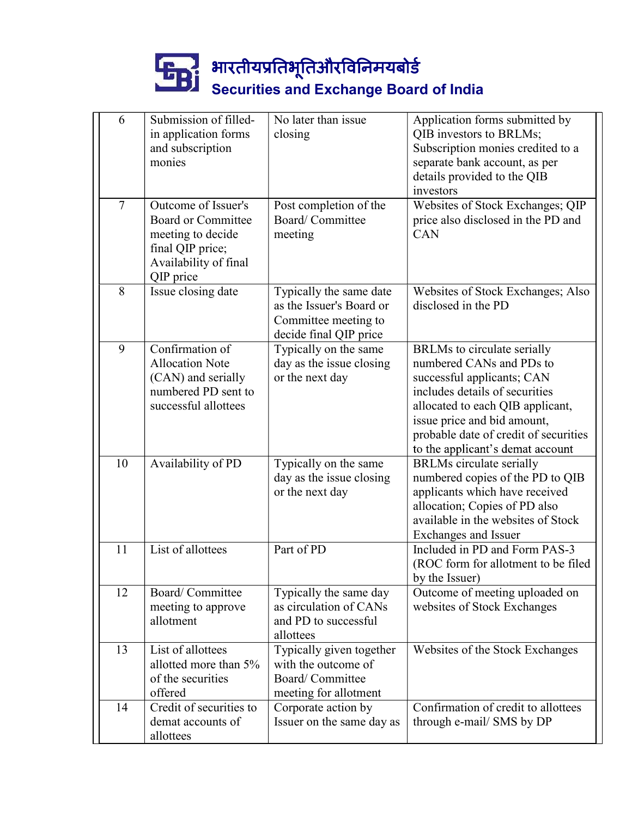# Securities and Exchange Board of India

|                |                                                                                                                          | भारतीयप्रतिभूतिऔरविनिमयबोर्ड                                                                          |                                                                                                                                                                                                                                                                                |
|----------------|--------------------------------------------------------------------------------------------------------------------------|-------------------------------------------------------------------------------------------------------|--------------------------------------------------------------------------------------------------------------------------------------------------------------------------------------------------------------------------------------------------------------------------------|
| 6              | Submission of filled-                                                                                                    | <b>Securities and Exchange Board of India</b><br>No later than issue                                  | Application forms submitted by                                                                                                                                                                                                                                                 |
|                | in application forms<br>and subscription<br>monies                                                                       | closing                                                                                               | QIB investors to BRLMs;<br>Subscription monies credited to a<br>separate bank account, as per<br>details provided to the QIB<br>investors                                                                                                                                      |
| $\overline{7}$ | Outcome of Issuer's<br>Board or Committee<br>meeting to decide<br>final QIP price;<br>Availability of final<br>QIP price | Post completion of the<br>Board/Committee<br>meeting                                                  | Websites of Stock Exchanges; QIP<br>price also disclosed in the PD and<br><b>CAN</b>                                                                                                                                                                                           |
| 8              | Issue closing date                                                                                                       | Typically the same date<br>as the Issuer's Board or<br>Committee meeting to<br>decide final QIP price | Websites of Stock Exchanges; Also<br>disclosed in the PD                                                                                                                                                                                                                       |
| 9              | Confirmation of<br><b>Allocation Note</b><br>(CAN) and serially<br>numbered PD sent to<br>successful allottees           | Typically on the same<br>day as the issue closing<br>or the next day                                  | <b>BRLMs</b> to circulate serially<br>numbered CANs and PDs to<br>successful applicants; CAN<br>includes details of securities<br>allocated to each QIB applicant,<br>issue price and bid amount,<br>probable date of credit of securities<br>to the applicant's demat account |
| 10             | Availability of PD                                                                                                       | Typically on the same<br>day as the issue closing<br>or the next day                                  | <b>BRLMs</b> circulate serially<br>numbered copies of the PD to QIB<br>applicants which have received<br>allocation; Copies of PD also<br>available in the websites of Stock<br><b>Exchanges and Issuer</b>                                                                    |
| 11             | List of allottees                                                                                                        | Part of PD                                                                                            | Included in PD and Form PAS-3<br>(ROC form for allotment to be filed<br>by the Issuer)                                                                                                                                                                                         |
| 12             | Board/Committee<br>meeting to approve<br>allotment                                                                       | Typically the same day<br>as circulation of CANs<br>and PD to successful<br>allottees                 | Outcome of meeting uploaded on<br>websites of Stock Exchanges                                                                                                                                                                                                                  |
| 13             | List of allottees<br>allotted more than 5%<br>of the securities<br>offered                                               | Typically given together<br>with the outcome of<br>Board/Committee<br>meeting for allotment           | Websites of the Stock Exchanges                                                                                                                                                                                                                                                |
| 14             | Credit of securities to<br>demat accounts of<br>allottees                                                                | Corporate action by<br>Issuer on the same day as                                                      | Confirmation of credit to allottees<br>through e-mail/ SMS by DP                                                                                                                                                                                                               |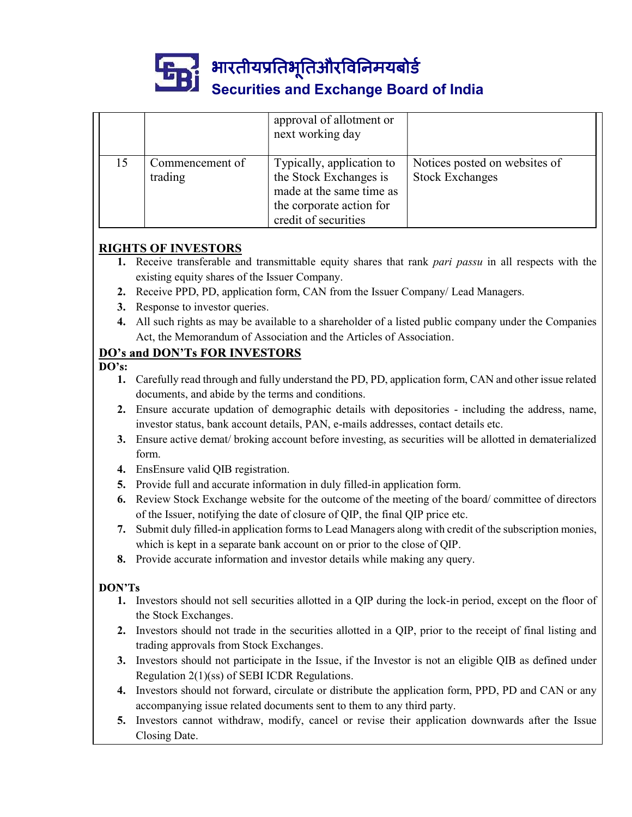

# Securities and Exchange Board of India

|    |                                               | भारतीयप्रतिभूतिऔरविनिमयबोर्ड                                                   |                                                                                                       |  |  |  |
|----|-----------------------------------------------|--------------------------------------------------------------------------------|-------------------------------------------------------------------------------------------------------|--|--|--|
|    |                                               | <b>Securities and Exchange Board of India</b>                                  |                                                                                                       |  |  |  |
|    |                                               |                                                                                |                                                                                                       |  |  |  |
|    |                                               | approval of allotment or                                                       |                                                                                                       |  |  |  |
|    |                                               | next working day                                                               |                                                                                                       |  |  |  |
| 15 | Commencement of                               | Typically, application to                                                      | Notices posted on websites of                                                                         |  |  |  |
|    | trading                                       | the Stock Exchanges is                                                         | <b>Stock Exchanges</b>                                                                                |  |  |  |
|    |                                               | made at the same time as                                                       |                                                                                                       |  |  |  |
|    |                                               | the corporate action for<br>credit of securities                               |                                                                                                       |  |  |  |
|    |                                               |                                                                                |                                                                                                       |  |  |  |
|    | <b>RIGHTS OF INVESTORS</b>                    |                                                                                |                                                                                                       |  |  |  |
|    |                                               |                                                                                | 1. Receive transferable and transmittable equity shares that rank pari passu in all respects with the |  |  |  |
|    | existing equity shares of the Issuer Company. |                                                                                |                                                                                                       |  |  |  |
| 2. |                                               | Receive PPD, PD, application form, CAN from the Issuer Company/ Lead Managers. |                                                                                                       |  |  |  |
| 3. | Response to investor queries.                 |                                                                                |                                                                                                       |  |  |  |
| 4. |                                               |                                                                                | All such rights as may be available to a shareholder of a listed public company under the Companies   |  |  |  |

# RIGHTS OF INVESTORS

- existing equity shares of the Issuer Company.
- 2. Receive PPD, PD, application form, CAN from the Issuer Company/ Lead Managers.
- 3. Response to investor queries.
- 4. All such rights as may be available to a shareholder of a listed public company under the Companies Act, the Memorandum of Association and the Articles of Association.

- 1. Carefully read through and fully understand the PD, PD, application form, CAN and other issue related documents, and abide by the terms and conditions.
- 2. Ensure accurate updation of demographic details with depositories including the address, name, investor status, bank account details, PAN, e-mails addresses, contact details etc.
- 3. Ensure active demat/ broking account before investing, as securities will be allotted in dematerialized form.
- 4. EnsEnsure valid QIB registration.
- 5. Provide full and accurate information in duly filled-in application form.
- 6. Review Stock Exchange website for the outcome of the meeting of the board/ committee of directors **SOF HNVESTORS**<br> **SCOF THAT EXENTS OF THE SECT TO THE SECT TO THE SECT TO THE SECT TO THE SECT TO THE SECT TO THE SECT TO THE SECT TO THE SECT TO THE SECT TO THE SECT TO THE AND THE SECT TO THE ALL SUCTION AND AND AND AND**
- 7. Submit duly filled-in application forms to Lead Managers along with credit of the subscription monies, which is kept in a separate bank account on or prior to the close of QIP.
- 8. Provide accurate information and investor details while making any query.

- Act, the Memorandum of Association and the Articles of Association.<br>
1. Gerebully read through and fully understand the PD, PD, application form, CAN and other issue related<br>
1. Carefully read through and fully understand the Stock Exchanges. 32. Ensure trade in the securities allotted in a QIP, prior to the receipt of final lines shows should not denote the securities with depositories - including the address, name, investor status, bank account details, PAN, Ensire active demat/ broking account before investing, as securities will be allotted in dematerialized<br>FinsEnsure valid QIB registration.<br>Provide full and accurate information in duly filled-in application form.<br>Provide f
- trading approvals from Stock Exchanges.
- 3. Investors should not participate in the Issue, if the Investor is not an eligible QIB as defined under Regulation 2(1)(ss) of SEBI ICDR Regulations.
- 4. Investors should not forward, circulate or distribute the application form, PPD, PD and CAN or any
- 5. Investors cannot withdraw, modify, cancel or revise their application downwards after the Issue Closing Date.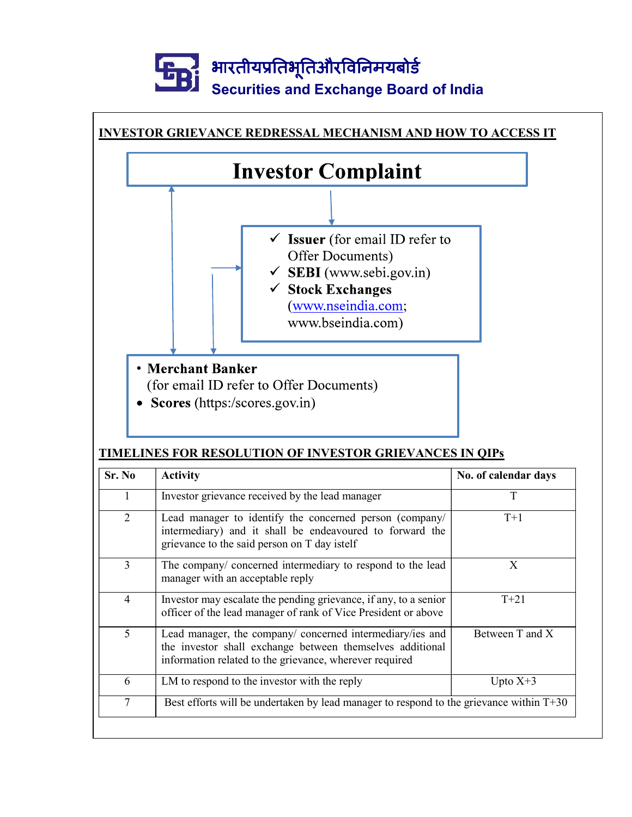# . भारतीयप्रतिभूतिऔरविनिमयबोर्ड Securities and Exchange Board of India



# TIMELINES FOR RESOLUTION OF INVESTOR GRIEVANCES IN QIPs

| Sr. No                      | <b>Activity</b>                                                                                                                                                                   | No. of calendar days |
|-----------------------------|-----------------------------------------------------------------------------------------------------------------------------------------------------------------------------------|----------------------|
|                             | Investor grievance received by the lead manager                                                                                                                                   |                      |
| $\mathcal{D}_{\mathcal{L}}$ | Lead manager to identify the concerned person (company/<br>intermediary) and it shall be endeavoured to forward the<br>grievance to the said person on T day istelf               | $T+1$                |
| 3                           | The company/ concerned intermediary to respond to the lead<br>manager with an acceptable reply                                                                                    | X                    |
| 4                           | Investor may escalate the pending grievance, if any, to a senior<br>officer of the lead manager of rank of Vice President or above                                                | $T+21$               |
| 5                           | Lead manager, the company/ concerned intermediary/ies and<br>the investor shall exchange between themselves additional<br>information related to the grievance, wherever required | Between T and X      |
| 6                           | LM to respond to the investor with the reply                                                                                                                                      | Upto $X+3$           |
| 7                           | Best efforts will be undertaken by lead manager to respond to the grievance within $T+30$                                                                                         |                      |